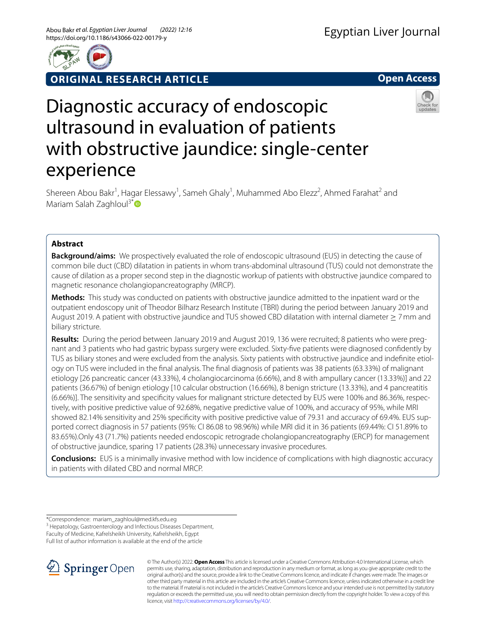

**ORIGINAL RESEARCH ARTICLE**





# Diagnostic accuracy of endoscopic ultrasound in evaluation of patients with obstructive jaundice: single-center experience

Shereen Abou Bakr<sup>1</sup>, Hagar Elessawy<sup>1</sup>, Sameh Ghaly<sup>1</sup>, Muhammed Abo Elezz<sup>2</sup>, Ahmed Farahat<sup>2</sup> and Mariam Salah Zaghloul<sup>3[\\*](http://orcid.org/0000-0002-4244-5396)</sup> $\bullet$ 

# **Abstract**

**Background/aims:** We prospectively evaluated the role of endoscopic ultrasound (EUS) in detecting the cause of common bile duct (CBD) dilatation in patients in whom trans-abdominal ultrasound (TUS) could not demonstrate the cause of dilation as a proper second step in the diagnostic workup of patients with obstructive jaundice compared to magnetic resonance cholangiopancreatography (MRCP).

**Methods:** This study was conducted on patients with obstructive jaundice admitted to the inpatient ward or the outpatient endoscopy unit of Theodor Bilharz Research Institute (TBRI) during the period between January 2019 and August 2019. A patient with obstructive jaundice and TUS showed CBD dilatation with internal diameter ≥ 7mm and biliary stricture.

**Results:** During the period between January 2019 and August 2019, 136 were recruited; 8 patients who were pregnant and 3 patients who had gastric bypass surgery were excluded. Sixty-fve patients were diagnosed confdently by TUS as biliary stones and were excluded from the analysis. Sixty patients with obstructive jaundice and indefnite etiology on TUS were included in the fnal analysis. The fnal diagnosis of patients was 38 patients (63.33%) of malignant etiology [26 pancreatic cancer (43.33%), 4 cholangiocarcinoma (6.66%), and 8 with ampullary cancer (13.33%)] and 22 patients (36.67%) of benign etiology [10 calcular obstruction (16.66%), 8 benign stricture (13.33%), and 4 pancreatitis (6.66%)]. The sensitivity and specifcity values for malignant stricture detected by EUS were 100% and 86.36%, respectively, with positive predictive value of 92.68%, negative predictive value of 100%, and accuracy of 95%, while MRI showed 82.14% sensitivity and 25% specifcity with positive predictive value of 79.31 and accuracy of 69.4%. EUS supported correct diagnosis in 57 patients (95%: CI 86.08 to 98.96%) while MRI did it in 36 patients (69.44%: CI 51.89% to 83.65%).Only 43 (71.7%) patients needed endoscopic retrograde cholangiopancreatography (ERCP) for management of obstructive jaundice, sparing 17 patients (28.3%) unnecessary invasive procedures.

**Conclusions:** EUS is a minimally invasive method with low incidence of complications with high diagnostic accuracy in patients with dilated CBD and normal MRCP.

\*Correspondence: mariam\_zaghloul@med.kfs.edu.eg

<sup>3</sup> Hepatology, Gastroenterology and Infectious Diseases Department, Faculty of Medicine, Kafrelsheikh University, Kafrelsheikh, Egypt

Full list of author information is available at the end of the article



© The Author(s) 2022. **Open Access** This article is licensed under a Creative Commons Attribution 4.0 International License, which permits use, sharing, adaptation, distribution and reproduction in any medium or format, as long as you give appropriate credit to the original author(s) and the source, provide a link to the Creative Commons licence, and indicate if changes were made. The images or other third party material in this article are included in the article's Creative Commons licence, unless indicated otherwise in a credit line to the material. If material is not included in the article's Creative Commons licence and your intended use is not permitted by statutory regulation or exceeds the permitted use, you will need to obtain permission directly from the copyright holder. To view a copy of this licence, visit [http://creativecommons.org/licenses/by/4.0/.](http://creativecommons.org/licenses/by/4.0/)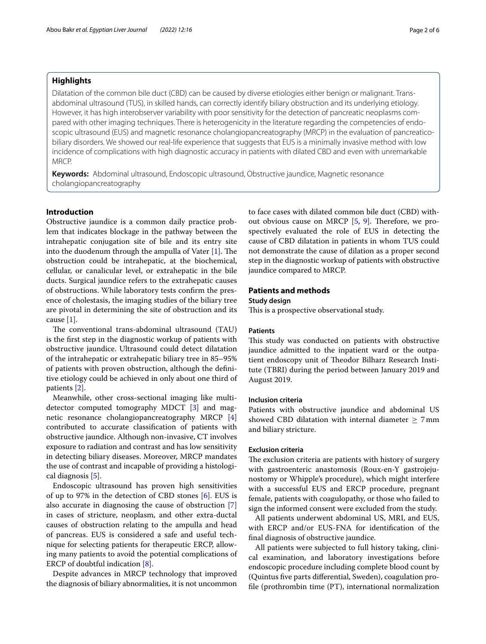## **Highlights**

Dilatation of the common bile duct (CBD) can be caused by diverse etiologies either benign or malignant. Transabdominal ultrasound (TUS), in skilled hands, can correctly identify biliary obstruction and its underlying etiology. However, it has high interobserver variability with poor sensitivity for the detection of pancreatic neoplasms compared with other imaging techniques. There is heterogenicity in the literature regarding the competencies of endoscopic ultrasound (EUS) and magnetic resonance cholangiopancreatography (MRCP) in the evaluation of pancreaticobiliary disorders. We showed our real-life experience that suggests that EUS is a minimally invasive method with low incidence of complications with high diagnostic accuracy in patients with dilated CBD and even with unremarkable MRCP.

**Keywords:** Abdominal ultrasound, Endoscopic ultrasound, Obstructive jaundice, Magnetic resonance cholangiopancreatography

## **Introduction**

Obstructive jaundice is a common daily practice problem that indicates blockage in the pathway between the intrahepatic conjugation site of bile and its entry site into the duodenum through the ampulla of Vater  $[1]$  $[1]$ . The obstruction could be intrahepatic, at the biochemical, cellular, or canalicular level, or extrahepatic in the bile ducts. Surgical jaundice refers to the extrahepatic causes of obstructions. While laboratory tests confrm the presence of cholestasis, the imaging studies of the biliary tree are pivotal in determining the site of obstruction and its cause [[1\]](#page-5-0).

The conventional trans-abdominal ultrasound (TAU) is the frst step in the diagnostic workup of patients with obstructive jaundice. Ultrasound could detect dilatation of the intrahepatic or extrahepatic biliary tree in 85–95% of patients with proven obstruction, although the defnitive etiology could be achieved in only about one third of patients [[2\]](#page-5-1).

Meanwhile, other cross-sectional imaging like multidetector computed tomography MDCT [[3\]](#page-5-2) and magnetic resonance cholangiopancreatography MRCP [\[4](#page-5-3)] contributed to accurate classifcation of patients with obstructive jaundice. Although non-invasive, CT involves exposure to radiation and contrast and has low sensitivity in detecting biliary diseases. Moreover, MRCP mandates the use of contrast and incapable of providing a histological diagnosis [\[5](#page-5-4)].

Endoscopic ultrasound has proven high sensitivities of up to 97% in the detection of CBD stones [[6](#page-5-5)]. EUS is also accurate in diagnosing the cause of obstruction [\[7](#page-5-6)] in cases of stricture, neoplasm, and other extra-ductal causes of obstruction relating to the ampulla and head of pancreas. EUS is considered a safe and useful technique for selecting patients for therapeutic ERCP, allowing many patients to avoid the potential complications of ERCP of doubtful indication [[8\]](#page-5-7).

Despite advances in MRCP technology that improved the diagnosis of biliary abnormalities, it is not uncommon to face cases with dilated common bile duct (CBD) with-out obvious cause on MRCP [\[5](#page-5-4), [9](#page-5-8)]. Therefore, we prospectively evaluated the role of EUS in detecting the cause of CBD dilatation in patients in whom TUS could not demonstrate the cause of dilation as a proper second step in the diagnostic workup of patients with obstructive jaundice compared to MRCP.

## **Patients and methods**

## **Study design**

This is a prospective observational study.

#### **Patients**

This study was conducted on patients with obstructive jaundice admitted to the inpatient ward or the outpatient endoscopy unit of Theodor Bilharz Research Institute (TBRI) during the period between January 2019 and August 2019.

## **Inclusion criteria**

Patients with obstructive jaundice and abdominal US showed CBD dilatation with internal diameter  $\geq$  7 mm and biliary stricture.

## **Exclusion criteria**

The exclusion criteria are patients with history of surgery with gastroenteric anastomosis (Roux-en-Y gastrojejunostomy or Whipple's procedure), which might interfere with a successful EUS and ERCP procedure, pregnant female, patients with coagulopathy, or those who failed to sign the informed consent were excluded from the study.

All patients underwent abdominal US, MRI, and EUS, with ERCP and/or EUS-FNA for identifcation of the fnal diagnosis of obstructive jaundice.

All patients were subjected to full history taking, clinical examination, and laboratory investigations before endoscopic procedure including complete blood count by (Quintus fve parts diferential, Sweden), coagulation profle (prothrombin time (PT), international normalization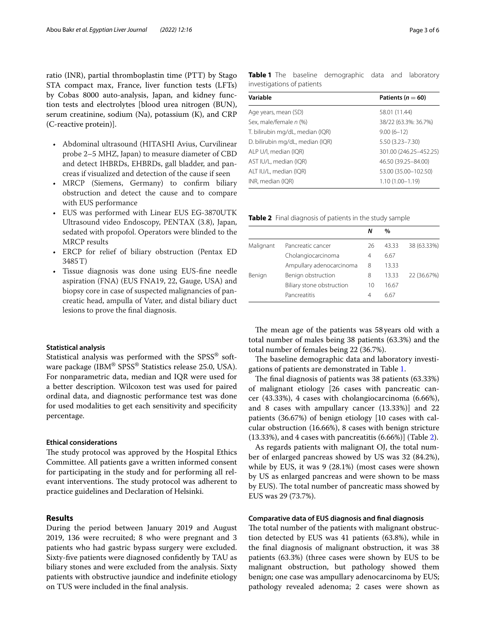ratio (INR), partial thromboplastin time (PTT) by Stago STA compact max, France, liver function tests (LFTs) by Cobas 8000 auto-analysis, Japan, and kidney function tests and electrolytes [blood urea nitrogen (BUN), serum creatinine, sodium (Na), potassium (K), and CRP (C-reactive protein)].

- Abdominal ultrasound (HITASHI Avius, Curvilinear probe 2–5 MHZ, Japan) to measure diameter of CBD and detect IHBRDs, EHBRDs, gall bladder, and pancreas if visualized and detection of the cause if seen
- MRCP (Siemens, Germany) to confirm biliary obstruction and detect the cause and to compare with EUS performance
- EUS was performed with Linear EUS EG-3870UTK Ultrasound video Endoscopy, PENTAX (3.8), Japan, sedated with propofol. Operators were blinded to the MRCP results
- ERCP for relief of biliary obstruction (Pentax ED 3485T)
- Tissue diagnosis was done using EUS-fne needle aspiration (FNA) (EUS FNA19, 22, Gauge, USA) and biopsy core in case of suspected malignancies of pancreatic head, ampulla of Vater, and distal biliary duct lesions to prove the fnal diagnosis.

## **Statistical analysis**

Statistical analysis was performed with the SPSS<sup>®</sup> software package (IBM® SPSS® Statistics release 25.0, USA). For nonparametric data, median and IQR were used for a better description. Wilcoxon test was used for paired ordinal data, and diagnostic performance test was done for used modalities to get each sensitivity and specifcity percentage.

### **Ethical considerations**

The study protocol was approved by the Hospital Ethics Committee. All patients gave a written informed consent for participating in the study and for performing all relevant interventions. The study protocol was adherent to practice guidelines and Declaration of Helsinki.

## **Results**

During the period between January 2019 and August 2019, 136 were recruited; 8 who were pregnant and 3 patients who had gastric bypass surgery were excluded. Sixty-fve patients were diagnosed confdently by TAU as biliary stones and were excluded from the analysis. Sixty patients with obstructive jaundice and indefnite etiology on TUS were included in the fnal analysis.

<span id="page-2-0"></span>

| Variable                         | Patients ( $n = 60$ )  |  |  |
|----------------------------------|------------------------|--|--|
| Age years, mean (SD)             | 58.01 (11.44)          |  |  |
| Sex, male/female n (%)           | 38/22 (63.3%: 36.7%)   |  |  |
| T. bilirubin mg/dL, median (IQR) | $9.00(6-12)$           |  |  |
| D. bilirubin mg/dL, median (IQR) | $5.50(3.23 - 7.30)$    |  |  |
| ALP U/I, median (IQR)            | 301.00 (246.25-452.25) |  |  |
| AST IU/L, median (IQR)           | 46.50 (39.25 - 84.00)  |  |  |
| ALT IU/L, median (IQR)           | 53.00 (35.00-102.50)   |  |  |
| INR, median (IQR)                | $1.10(1.00 - 1.19)$    |  |  |

<span id="page-2-1"></span>**Table 2** Final diagnosis of patients in the study sample

|           |                           | Ν  | %     |             |
|-----------|---------------------------|----|-------|-------------|
| Malignant | Pancreatic cancer         | 26 | 43.33 | 38 (63.33%) |
|           | Cholangiocarcinoma        | 4  | 6.67  |             |
|           | Ampullary adenocarcinoma  | 8  | 13.33 |             |
| Benign    | Benign obstruction        | 8  | 13.33 | 22 (36.67%) |
|           | Biliary stone obstruction | 10 | 16.67 |             |
|           | Pancreatitis              | 4  | 6.67  |             |

The mean age of the patients was 58 years old with a total number of males being 38 patients (63.3%) and the total number of females being 22 (36.7%).

The baseline demographic data and laboratory investigations of patients are demonstrated in Table [1.](#page-2-0)

The final diagnosis of patients was 38 patients (63.33%) of malignant etiology [26 cases with pancreatic cancer (43.33%), 4 cases with cholangiocarcinoma (6.66%), and 8 cases with ampullary cancer (13.33%)] and 22 patients (36.67%) of benign etiology [10 cases with calcular obstruction (16.66%), 8 cases with benign stricture (13.33%), and 4 cases with pancreatitis (6.66%)] (Table [2](#page-2-1)).

As regards patients with malignant OJ, the total number of enlarged pancreas showed by US was 32 (84.2%), while by EUS, it was 9 (28.1%) (most cases were shown by US as enlarged pancreas and were shown to be mass by EUS). The total number of pancreatic mass showed by EUS was 29 (73.7%).

## **Comparative data of EUS diagnosis and fnal diagnosis**

The total number of the patients with malignant obstruction detected by EUS was 41 patients (63.8%), while in the fnal diagnosis of malignant obstruction, it was 38 patients (63.3%) (three cases were shown by EUS to be malignant obstruction, but pathology showed them benign; one case was ampullary adenocarcinoma by EUS; pathology revealed adenoma; 2 cases were shown as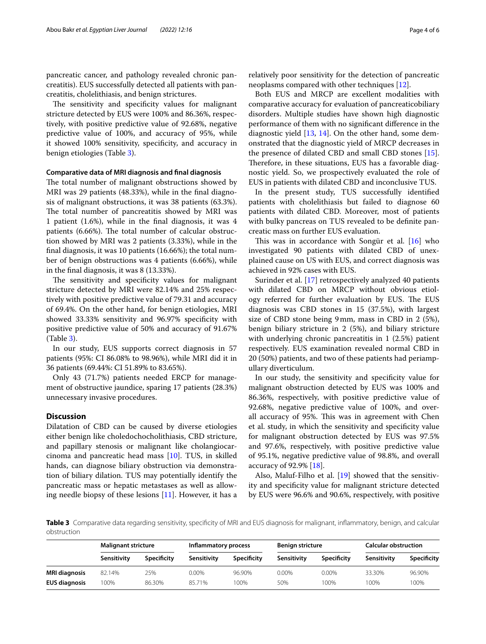pancreatic cancer, and pathology revealed chronic pancreatitis). EUS successfully detected all patients with pancreatitis, cholelithiasis, and benign strictures.

The sensitivity and specificity values for malignant stricture detected by EUS were 100% and 86.36%, respectively, with positive predictive value of 92.68%, negative predictive value of 100%, and accuracy of 95%, while it showed 100% sensitivity, specifcity, and accuracy in benign etiologies (Table [3](#page-3-0)).

## **Comparative data of MRI diagnosis and fnal diagnosis**

The total number of malignant obstructions showed by MRI was 29 patients (48.33%), while in the fnal diagnosis of malignant obstructions, it was 38 patients (63.3%). The total number of pancreatitis showed by MRI was 1 patient (1.6%), while in the fnal diagnosis, it was 4 patients (6.66%). The total number of calcular obstruction showed by MRI was 2 patients (3.33%), while in the fnal diagnosis, it was 10 patients (16.66%); the total number of benign obstructions was 4 patients (6.66%), while in the fnal diagnosis, it was 8 (13.33%).

The sensitivity and specificity values for malignant stricture detected by MRI were 82.14% and 25% respectively with positive predictive value of 79.31 and accuracy of 69.4%. On the other hand, for benign etiologies, MRI showed 33.33% sensitivity and 96.97% specifcity with positive predictive value of 50% and accuracy of 91.67% (Table [3](#page-3-0)).

In our study, EUS supports correct diagnosis in 57 patients (95%: CI 86.08% to 98.96%), while MRI did it in 36 patients (69.44%: CI 51.89% to 83.65%).

Only 43 (71.7%) patients needed ERCP for management of obstructive jaundice, sparing 17 patients (28.3%) unnecessary invasive procedures.

# **Discussion**

Dilatation of CBD can be caused by diverse etiologies either benign like choledochocholithiasis, CBD stricture, and papillary stenosis or malignant like cholangiocarcinoma and pancreatic head mass [[10\]](#page-5-9). TUS, in skilled hands, can diagnose biliary obstruction via demonstration of biliary dilation. TUS may potentially identify the pancreatic mass or hepatic metastases as well as allowing needle biopsy of these lesions [\[11\]](#page-5-10). However, it has a

Both EUS and MRCP are excellent modalities with comparative accuracy for evaluation of pancreaticobiliary disorders. Multiple studies have shown high diagnostic performance of them with no signifcant diference in the diagnostic yield [[13](#page-5-12), [14\]](#page-5-13). On the other hand, some demonstrated that the diagnostic yield of MRCP decreases in the presence of dilated CBD and small CBD stones [\[15](#page-5-14)]. Therefore, in these situations, EUS has a favorable diagnostic yield. So, we prospectively evaluated the role of EUS in patients with dilated CBD and inconclusive TUS.

In the present study, TUS successfully identifed patients with cholelithiasis but failed to diagnose 60 patients with dilated CBD. Moreover, most of patients with bulky pancreas on TUS revealed to be defnite pancreatic mass on further EUS evaluation.

This was in accordance with Songür et al.  $[16]$  $[16]$  $[16]$  who investigated 90 patients with dilated CBD of unexplained cause on US with EUS, and correct diagnosis was achieved in 92% cases with EUS.

Surinder et al. [\[17](#page-5-16)] retrospectively analyzed 40 patients with dilated CBD on MRCP without obvious etiology referred for further evaluation by EUS. The EUS diagnosis was CBD stones in 15 (37.5%), with largest size of CBD stone being 9mm, mass in CBD in 2 (5%), benign biliary stricture in 2 (5%), and biliary stricture with underlying chronic pancreatitis in 1 (2.5%) patient respectively. EUS examination revealed normal CBD in 20 (50%) patients, and two of these patients had periampullary diverticulum.

In our study, the sensitivity and specifcity value for malignant obstruction detected by EUS was 100% and 86.36%, respectively, with positive predictive value of 92.68%, negative predictive value of 100%, and overall accuracy of 95%. This was in agreement with Chen et al. study, in which the sensitivity and specifcity value for malignant obstruction detected by EUS was 97.5% and 97.6%, respectively, with positive predictive value of 95.1%, negative predictive value of 98.8%, and overall accuracy of 92.9% [[18\]](#page-5-17).

Also, Maluf-Filho et al. [[19\]](#page-5-18) showed that the sensitivity and specifcity value for malignant stricture detected by EUS were 96.6% and 90.6%, respectively, with positive

<span id="page-3-0"></span>**Table 3** Comparative data regarding sensitivity, specifcity of MRI and EUS diagnosis for malignant, infammatory, benign, and calcular obstruction

|                      | <b>Malignant stricture</b> |             | Inflammatory process |                    | <b>Benign stricture</b> |                    | <b>Calcular obstruction</b> |             |
|----------------------|----------------------------|-------------|----------------------|--------------------|-------------------------|--------------------|-----------------------------|-------------|
|                      | Sensitivity                | Specificity | Sensitivity          | <b>Specificity</b> | Sensitivity             | <b>Specificity</b> | Sensitivity                 | Specificity |
| <b>MRI diagnosis</b> | 82.14%                     | 25%         | 0.00%                | 96.90%             | $0.00\%$                | 0.00%              | 33.30%                      | 96.90%      |
| <b>EUS diagnosis</b> | 100%                       | 86.30%      | 85.71%               | 100%               | 50%                     | 100%               | 100%                        | 100%        |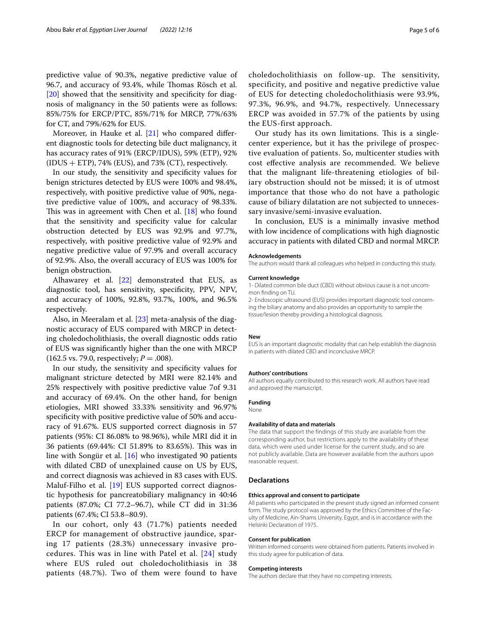predictive value of 90.3%, negative predictive value of 96.7, and accuracy of 93.4%, while Thomas Rösch et al. [[20\]](#page-5-19) showed that the sensitivity and specificity for diagnosis of malignancy in the 50 patients were as follows: 85%/75% for ERCP/PTC, 85%/71% for MRCP, 77%/63% for CT, and 79%/62% for EUS.

Moreover, in Hauke et al. [[21\]](#page-5-20) who compared different diagnostic tools for detecting bile duct malignancy, it has accuracy rates of 91% (ERCP/IDUS), 59% (ETP), 92%  $(IDUS + ETP)$ , 74%  $(EUS)$ , and 73%  $(CT)$ , respectively.

In our study, the sensitivity and specifcity values for benign strictures detected by EUS were 100% and 98.4%, respectively, with positive predictive value of 90%, negative predictive value of 100%, and accuracy of 98.33%. This was in agreement with Chen et al.  $[18]$  who found that the sensitivity and specifcity value for calcular obstruction detected by EUS was 92.9% and 97.7%, respectively, with positive predictive value of 92.9% and negative predictive value of 97.9% and overall accuracy of 92.9%. Also, the overall accuracy of EUS was 100% for benign obstruction.

Alhawarey et al. [[22\]](#page-5-21) demonstrated that EUS, as diagnostic tool, has sensitivity, specifcity, PPV, NPV, and accuracy of 100%, 92.8%, 93.7%, 100%, and 96.5% respectively.

Also, in Meeralam et al. [[23\]](#page-5-22) meta-analysis of the diagnostic accuracy of EUS compared with MRCP in detecting choledocholithiasis, the overall diagnostic odds ratio of EUS was signifcantly higher than the one with MRCP  $(162.5 \text{ vs. } 79.0, \text{ respectively}; P = .008).$ 

In our study, the sensitivity and specifcity values for malignant stricture detected by MRI were 82.14% and 25% respectively with positive predictive value 7of 9.31 and accuracy of 69.4%. On the other hand, for benign etiologies, MRI showed 33.33% sensitivity and 96.97% specifcity with positive predictive value of 50% and accuracy of 91.67%. EUS supported correct diagnosis in 57 patients (95%: CI 86.08% to 98.96%), while MRI did it in 36 patients (69.44%: CI 51.89% to 83.65%). This was in line with Songür et al. [[16\]](#page-5-15) who investigated 90 patients with dilated CBD of unexplained cause on US by EUS, and correct diagnosis was achieved in 83 cases with EUS. Maluf-Filho et al. [\[19](#page-5-18)] EUS supported correct diagnostic hypothesis for pancreatobiliary malignancy in 40:46 patients (87.0%; CI 77.2–96.7), while CT did in 31:36 patients (67.4%; CI 53.8–80.9).

In our cohort, only 43 (71.7%) patients needed ERCP for management of obstructive jaundice, sparing 17 patients (28.3%) unnecessary invasive procedures. This was in line with Patel et al. [[24](#page-5-23)] study where EUS ruled out choledocholithiasis in 38 patients (48.7%). Two of them were found to have

choledocholithiasis on follow-up. The sensitivity, specificity, and positive and negative predictive value of EUS for detecting choledocholithiasis were 93.9%, 97.3%, 96.9%, and 94.7%, respectively. Unnecessary ERCP was avoided in 57.7% of the patients by using the EUS-first approach.

Our study has its own limitations. This is a singlecenter experience, but it has the privilege of prospective evaluation of patients. So, multicenter studies with cost efective analysis are recommended. We believe that the malignant life-threatening etiologies of biliary obstruction should not be missed; it is of utmost importance that those who do not have a pathologic cause of biliary dilatation are not subjected to unnecessary invasive/semi-invasive evaluation.

In conclusion, EUS is a minimally invasive method with low incidence of complications with high diagnostic accuracy in patients with dilated CBD and normal MRCP.

#### **Acknowledgements**

The authors would thank all colleagues who helped in conducting this study.

#### **Current knowledge**

1- Dilated common bile duct (CBD) without obvious cause is a not uncommon fnding on TU.

2- Endoscopic ultrasound (EUS) provides important diagnostic tool concerning the biliary anatomy and also provides an opportunity to sample the tissue/lesion thereby providing a histological diagnosis.

#### **New**

EUS is an important diagnostic modality that can help establish the diagnosis in patients with dilated CBD and inconclusive MRCP.

#### **Authors' contributions**

All authors equally contributed to this research work. All authors have read and approved the manuscript.

**Funding**

#### None

#### **Availability of data and materials**

The data that support the findings of this study are available from the corresponding author, but restrictions apply to the availability of these data, which were used under license for the current study, and so are not publicly available. Data are however available from the authors upon reasonable request.

## **Declarations**

#### **Ethics approval and consent to participate**

All patients who participated in the present study signed an informed consent form. The study protocol was approved by the Ethics Committee of the Faculty of Medicine, Ain-Shams University, Egypt, and is in accordance with the Helsinki Declaration of 1975.

#### **Consent for publication**

Written informed consents were obtained from patients. Patients involved in this study agree for publication of data.

#### **Competing interests**

The authors declare that they have no competing interests.